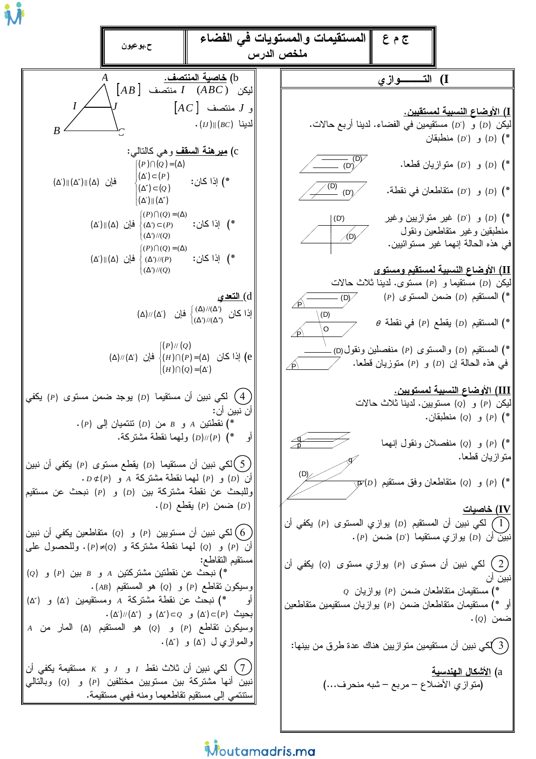ج م ع || المستقيمات والمستويات في الفضاء ح.بوعيون ملخص الدرس b) خاصبة المنتصف. I) الت ـــــوازي  $[AB]$  المِكن  $I$   $(ABC)$  المِنتصف  $\overline{I}$  $[AC]$  و  $J$  منتصف <u>I) الأوضاع النسبية لمستقيين.</u>  $\cdot$   $(U)$   $||(BC)$  للابنا ليكن (D) و (D') مستقيمين في الفضاء. لدينا أربع حالات.  $R$ و (D') و (D') منطبقان (e) c) <u>م**بر هنـة السقف** و هي</u> كالنـالـي:  $\overline{(\overline{D})}$  $((P)\cap (Q)=(\Delta))$ و (b) متوازيان قطعا. (b) (e)  $(\Delta') \subset (P)$ \*) إذا كان:  $(\Delta')\|(\Delta'')\|(\Delta)$  فَإِن  $\sqrt{(D)}$  $(\Delta'') \subset (Q)$ و (b) متقاطعان في نقطة. (b) (e) (e) (b) (  $(D')$  $\left| (\Delta') \right| (\Delta'')$  $[(P)\bigcap(Q)=(\Delta)$ \*) (D) و (D') غير متوازيين وغير  $(D')$ \*) اِذا کان:  $(\Delta') \|\Delta)$  فَإِن  $(\Delta') \subset (P)$ منطبقين وغير منقاطعين ونقول  $(\Delta')$ //(Q) في هذه الحالة إنهما غير مستوائيين.  $((P)\bigcap(Q)=(\Delta))$ \*) اِذا كان:  $(\Delta')\|(\Delta)$  فَإِن  $\langle (\Delta')/P\rangle$  $(\Delta')$ //(Q) II) الأوضاع النسبية لمستقيم ومستو ي ليكن (D) مستقيما و (P) مستوى. لدينا ثلاث حالات d<u>) التعدي</u>  $-$  (D)  $(P)$  المستقيم (D) ضمن المستوى (P) )  $\mathcal{A}$  $(\Delta)/\langle\Delta'\rangle$  إذا كان  $\left\{\hspace{-2.5mm}{}^{\hspace{-2.5mm}(\Delta)/\langle\Delta'\rangle}\hspace{-2.5mm}{}^{\hspace{-2.5mm}(\Delta)/\langle\Delta'\rangle}\right\}$  فإن  $(0)$  $\theta$  المستقيم (D) يقطع (P) في نقطة  $\theta$  $\Omega$  $\mathscr{A}$  $[(P)//(Q)]$ \*) المستقيم (D) والمستوى (P) منفصلين ونقول(D).  $(\Delta)//(\Delta')$  إذا كان  $\langle (H) \cap (P) = (\Delta)$  فإن  $(e)$  $(P)$  ) (D) في هذه الحالة إن  $\mathcal{A}$  $|(H) \cap (Q) = (\Delta')$ III) الأوضاع النسبية لمستويين. لکی نبین أن مستقیما (D) بوجد ضمن مستوی (P) یکفی  $($ ليكن (P) و (Q) مستويين. لدينا ثلاث حالات أن نبين أن: و (0) منطبقان. (0)  $(P)$  $\cdot$ (P) نقطتين A و B من (D) نتتميان إلى (P). ولهما نقطة مشتركة. (D)//(P) (\* أو \*) (P) و (Q) منفصلان ونقول إنهما متو از يان قطعا. ككي نبين أن مستقيما (D) يقطع مستوى (P) يكفي أن نبين  $($  )  $(D)$  $D \not\subset (P)$  أن (D) أيهما نقطة مشتركة 4 و (D).  $\overline{\psi}(D)$  و (2) منقاطعان وفق مستقيم (0) (\* وللبحث عن نقطة مشتركة بين (D) و (P) نبحث عن مستقيم  $\cdot$  (D) ضمن (P) يقطع (D) خاصبات (IV لكي نبين أن المستقيم (D) يوازي المستوى (P) يكفي أن  $(1)$ لكي نبين أن مستويين (p) و (0ٍ) متقاطعين يكفي أن نبين (0ٍ)  $(6\,$  $\cdot$ بَبِين أن (D) يو ازى مستقيما (D') ضمن (P). أن (p) و (q) لهما نقطة مشتركة و (p)=(p). وللحصول على مستقيم التقاطع: لكي نبين أن مستوى (p) يوازي مستوى (g) يكفي أن  $(2)$  $(Q)$  (2) نبحث عن نقطتين مشتركتين A و B بين (P) و  $(AB)$  وسيكون تقاطع (P) و (Q) هو المستقيم (  $Q$  مستقيمان متقاطعان ضمن (P) يوازيان  $\left( \begin{array}{cc} P \end{array} \right)$ أو \*) نبحث عن نقطة مشتركة A ومستقيمين (′∆) و (″∆) أو \*) مستقيمان متقاطعان ضمن (P) بوازيان مستقيمين متقاطعين  $\cdot (\Delta')$ بحيث  $(\Delta') \subset (\Delta') \subset Q$ ) و  $(\Delta') \subset (\Delta')$ ) و  $\cdot$  ضمن  $\cdot$ A وسيكون تقاطع (P) و (Q) هو المستقيم (A) المار من والموازي ل (۵′) و (۵″). ( 3 )كى نبين أن مستقيمين متوازيين هناك عدة طرق من بينها: لكي نبين أن ثلاث نقط  $I$  و  $J$  و  $K$  مستقيمة يكفي أن  $(7)$ a) الأشكال الهندسية نبين أنها مشتركة بين مستويين مختلفين (P) و (Q) وبالتالي (متوازي الأضلاع – مربع – شبه منحرف…) ىتتتمى إلى مستقيم تقاطعهما ومنه فهي مستقيمة.

## Moutamadris.ma